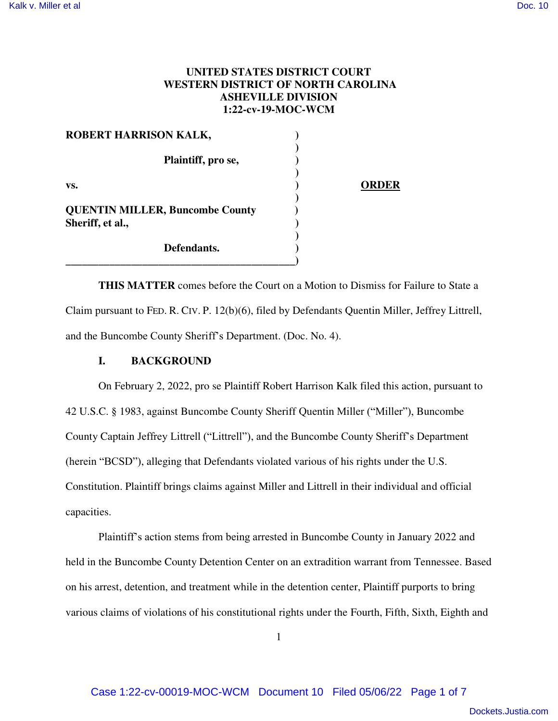## **UNITED STATES DISTRICT COURT WESTERN DISTRICT OF NORTH CAROLINA ASHEVILLE DIVISION 1:22-cv-19-MOC-WCM**

| <b>ROBERT HARRISON KALK,</b>                               |  |
|------------------------------------------------------------|--|
| Plaintiff, pro se,                                         |  |
| VS.                                                        |  |
| <b>QUENTIN MILLER, Buncombe County</b><br>Sheriff, et al., |  |
| Defendants.                                                |  |

**THIS MATTER** comes before the Court on a Motion to Dismiss for Failure to State a Claim pursuant to FED. R. CIV. P. 12(b)(6), filed by Defendants Quentin Miller, Jeffrey Littrell, and the Buncombe County Sheriff's Department. (Doc. No. 4).

## **I. BACKGROUND**

On February 2, 2022, pro se Plaintiff Robert Harrison Kalk filed this action, pursuant to 42 U.S.C. § 1983, against Buncombe County Sheriff Quentin Miller ("Miller"), Buncombe County Captain Jeffrey Littrell ("Littrell"), and the Buncombe County Sheriff's Department (herein "BCSD"), alleging that Defendants violated various of his rights under the U.S. Constitution. Plaintiff brings claims against Miller and Littrell in their individual and official capacities.

Plaintiff's action stems from being arrested in Buncombe County in January 2022 and held in the Buncombe County Detention Center on an extradition warrant from Tennessee. Based on his arrest, detention, and treatment while in the detention center, Plaintiff purports to bring various claims of violations of his constitutional rights under the Fourth, Fifth, Sixth, Eighth and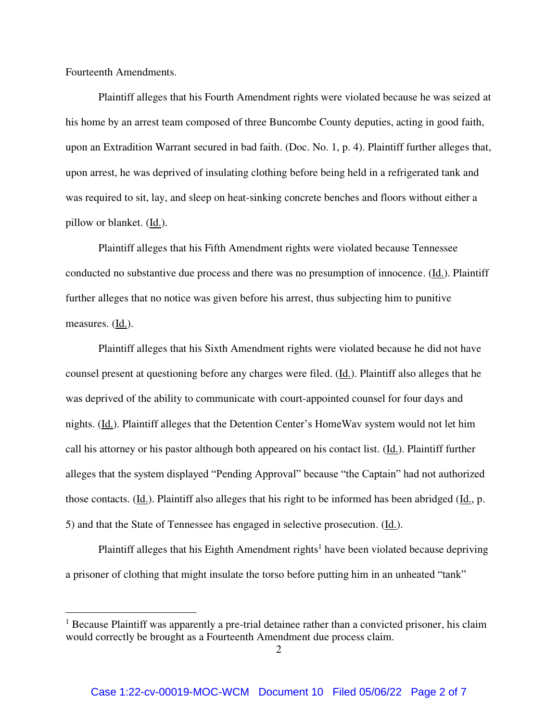Fourteenth Amendments.

 $\overline{a}$ 

Plaintiff alleges that his Fourth Amendment rights were violated because he was seized at his home by an arrest team composed of three Buncombe County deputies, acting in good faith, upon an Extradition Warrant secured in bad faith. (Doc. No. 1, p. 4). Plaintiff further alleges that, upon arrest, he was deprived of insulating clothing before being held in a refrigerated tank and was required to sit, lay, and sleep on heat-sinking concrete benches and floors without either a pillow or blanket. (Id.).

Plaintiff alleges that his Fifth Amendment rights were violated because Tennessee conducted no substantive due process and there was no presumption of innocence. (Id.). Plaintiff further alleges that no notice was given before his arrest, thus subjecting him to punitive measures.  $(\underline{Id.})$ .

Plaintiff alleges that his Sixth Amendment rights were violated because he did not have counsel present at questioning before any charges were filed. (Id.). Plaintiff also alleges that he was deprived of the ability to communicate with court-appointed counsel for four days and nights. (Id.). Plaintiff alleges that the Detention Center's HomeWav system would not let him call his attorney or his pastor although both appeared on his contact list. (Id.). Plaintiff further alleges that the system displayed "Pending Approval" because "the Captain" had not authorized those contacts. (Id.). Plaintiff also alleges that his right to be informed has been abridged (Id., p. 5) and that the State of Tennessee has engaged in selective prosecution. (Id.).

Plaintiff alleges that his Eighth Amendment rights<sup>1</sup> have been violated because depriving a prisoner of clothing that might insulate the torso before putting him in an unheated "tank"

<sup>&</sup>lt;sup>1</sup> Because Plaintiff was apparently a pre-trial detainee rather than a convicted prisoner, his claim would correctly be brought as a Fourteenth Amendment due process claim.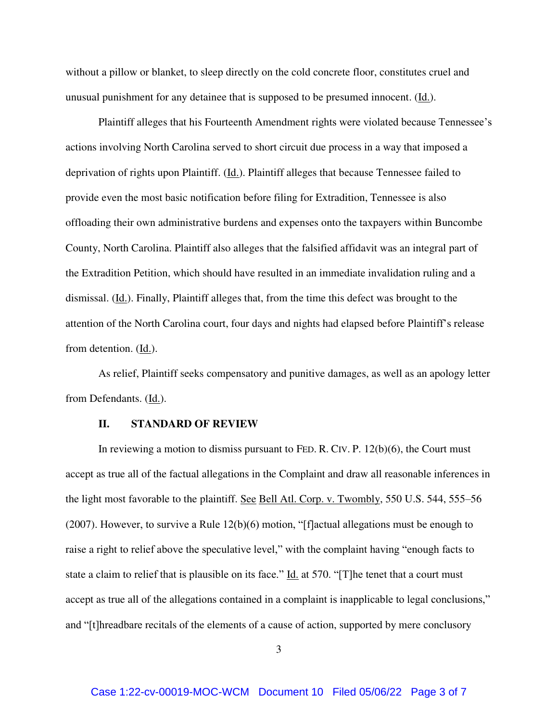without a pillow or blanket, to sleep directly on the cold concrete floor, constitutes cruel and unusual punishment for any detainee that is supposed to be presumed innocent. (Id.).

Plaintiff alleges that his Fourteenth Amendment rights were violated because Tennessee's actions involving North Carolina served to short circuit due process in a way that imposed a deprivation of rights upon Plaintiff.  $(\underline{Id})$ . Plaintiff alleges that because Tennessee failed to provide even the most basic notification before filing for Extradition, Tennessee is also offloading their own administrative burdens and expenses onto the taxpayers within Buncombe County, North Carolina. Plaintiff also alleges that the falsified affidavit was an integral part of the Extradition Petition, which should have resulted in an immediate invalidation ruling and a dismissal. (Id.). Finally, Plaintiff alleges that, from the time this defect was brought to the attention of the North Carolina court, four days and nights had elapsed before Plaintiff's release from detention. (Id.).

As relief, Plaintiff seeks compensatory and punitive damages, as well as an apology letter from Defendants. (Id.).

#### **II. STANDARD OF REVIEW**

In reviewing a motion to dismiss pursuant to FED. R. CIV. P.  $12(b)(6)$ , the Court must accept as true all of the factual allegations in the Complaint and draw all reasonable inferences in the light most favorable to the plaintiff. See Bell Atl. Corp. v. Twombly, 550 U.S. 544, 555-56 (2007). However, to survive a Rule  $12(b)(6)$  motion, "[f]actual allegations must be enough to raise a right to relief above the speculative level," with the complaint having "enough facts to state a claim to relief that is plausible on its face." Id. at 570. "[T] he tenet that a court must accept as true all of the allegations contained in a complaint is inapplicable to legal conclusions," and "[t]hreadbare recitals of the elements of a cause of action, supported by mere conclusory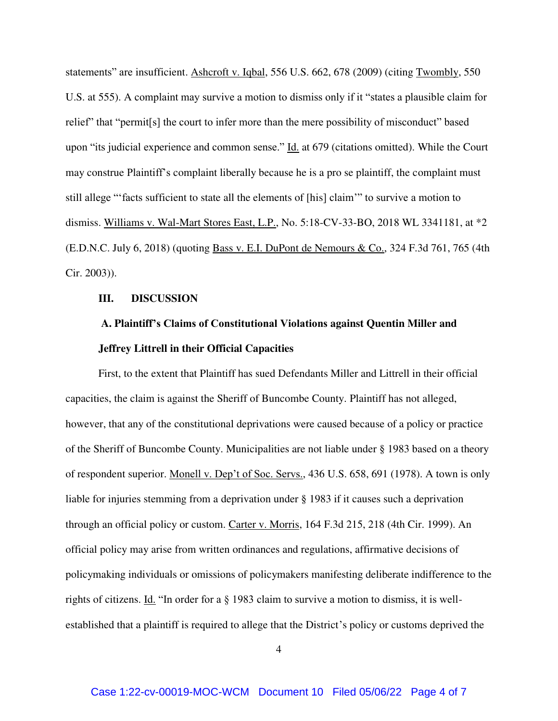statements" are insufficient. Ashcroft v. Iqbal, 556 U.S. 662, 678 (2009) (citing Twombly, 550 U.S. at 555). A complaint may survive a motion to dismiss only if it "states a plausible claim for relief" that "permit[s] the court to infer more than the mere possibility of misconduct" based upon "its judicial experience and common sense." Id. at 679 (citations omitted). While the Court may construe Plaintiff's complaint liberally because he is a pro se plaintiff, the complaint must still allege "'facts sufficient to state all the elements of [his] claim'" to survive a motion to dismiss. Williams v. Wal-Mart Stores East, L.P., No. 5:18-CV-33-BO, 2018 WL 3341181, at \*2 (E.D.N.C. July 6, 2018) (quoting Bass v. E.I. DuPont de Nemours & Co., 324 F.3d 761, 765 (4th Cir. 2003)).

#### **III. DISCUSSION**

# **A. Plaintiff's Claims of Constitutional Violations against Quentin Miller and Jeffrey Littrell in their Official Capacities**

First, to the extent that Plaintiff has sued Defendants Miller and Littrell in their official capacities, the claim is against the Sheriff of Buncombe County. Plaintiff has not alleged, however, that any of the constitutional deprivations were caused because of a policy or practice of the Sheriff of Buncombe County. Municipalities are not liable under § 1983 based on a theory of respondent superior. Monell v. Dep't of Soc. Servs., 436 U.S. 658, 691 (1978). A town is only liable for injuries stemming from a deprivation under § 1983 if it causes such a deprivation through an official policy or custom. Carter v. Morris, 164 F.3d 215, 218 (4th Cir. 1999). An official policy may arise from written ordinances and regulations, affirmative decisions of policymaking individuals or omissions of policymakers manifesting deliberate indifference to the rights of citizens. Id. "In order for a § 1983 claim to survive a motion to dismiss, it is wellestablished that a plaintiff is required to allege that the District's policy or customs deprived the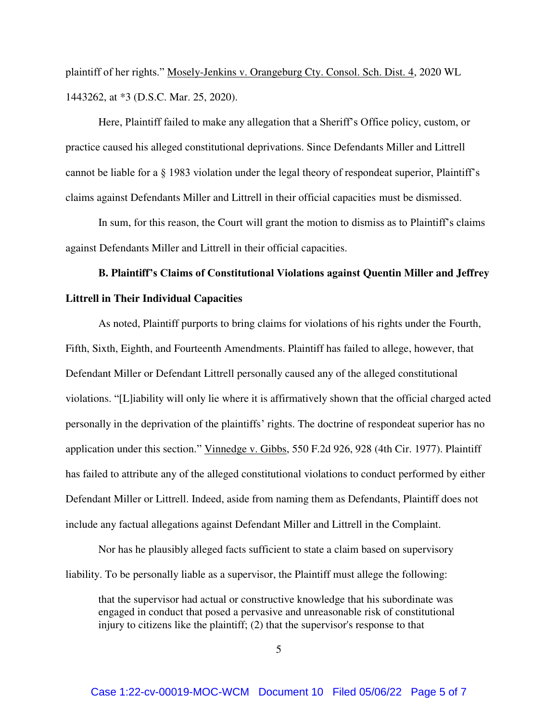plaintiff of her rights." Mosely-Jenkins v. Orangeburg Cty. Consol. Sch. Dist. 4, 2020 WL 1443262, at \*3 (D.S.C. Mar. 25, 2020).

Here, Plaintiff failed to make any allegation that a Sheriff's Office policy, custom, or practice caused his alleged constitutional deprivations. Since Defendants Miller and Littrell cannot be liable for a § 1983 violation under the legal theory of respondeat superior, Plaintiff's claims against Defendants Miller and Littrell in their official capacities must be dismissed.

In sum, for this reason, the Court will grant the motion to dismiss as to Plaintiff's claims against Defendants Miller and Littrell in their official capacities.

# **B. Plaintiff's Claims of Constitutional Violations against Quentin Miller and Jeffrey Littrell in Their Individual Capacities**

As noted, Plaintiff purports to bring claims for violations of his rights under the Fourth, Fifth, Sixth, Eighth, and Fourteenth Amendments. Plaintiff has failed to allege, however, that Defendant Miller or Defendant Littrell personally caused any of the alleged constitutional violations. "[L]iability will only lie where it is affirmatively shown that the official charged acted personally in the deprivation of the plaintiffs' rights. The doctrine of respondeat superior has no application under this section." Vinnedge v. Gibbs, 550 F.2d 926, 928 (4th Cir. 1977). Plaintiff has failed to attribute any of the alleged constitutional violations to conduct performed by either Defendant Miller or Littrell. Indeed, aside from naming them as Defendants, Plaintiff does not include any factual allegations against Defendant Miller and Littrell in the Complaint.

Nor has he plausibly alleged facts sufficient to state a claim based on supervisory liability. To be personally liable as a supervisor, the Plaintiff must allege the following:

that the supervisor had actual or constructive knowledge that his subordinate was engaged in conduct that posed a pervasive and unreasonable risk of constitutional injury to citizens like the plaintiff; (2) that the supervisor's response to that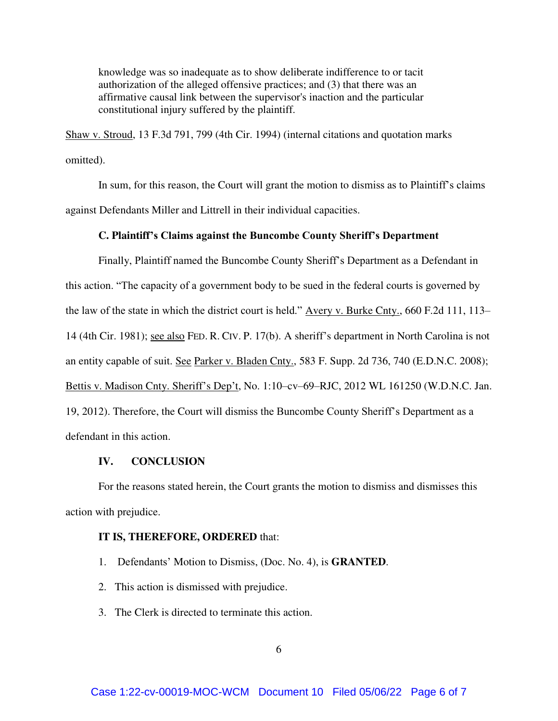knowledge was so inadequate as to show deliberate indifference to or tacit authorization of the alleged offensive practices; and (3) that there was an affirmative causal link between the supervisor's inaction and the particular constitutional injury suffered by the plaintiff.

Shaw v. Stroud, 13 F.3d 791, 799 (4th Cir. 1994) (internal citations and quotation marks omitted).

 In sum, for this reason, the Court will grant the motion to dismiss as to Plaintiff's claims against Defendants Miller and Littrell in their individual capacities.

## **C. Plaintiff's Claims against the Buncombe County Sheriff's Department**

Finally, Plaintiff named the Buncombe County Sheriff's Department as a Defendant in this action. "The capacity of a government body to be sued in the federal courts is governed by the law of the state in which the district court is held." Avery v. Burke Cnty., 660 F.2d 111, 113– 14 (4th Cir. 1981); see also FED. R. CIV. P. 17(b). A sheriff's department in North Carolina is not an entity capable of suit. See Parker v. Bladen Cnty., 583 F. Supp. 2d 736, 740 (E.D.N.C. 2008); Bettis v. Madison Cnty. Sheriff's Dep't, No. 1:10–cv–69–RJC, 2012 WL 161250 (W.D.N.C. Jan. 19, 2012). Therefore, the Court will dismiss the Buncombe County Sheriff's Department as a defendant in this action.

## **IV. CONCLUSION**

For the reasons stated herein, the Court grants the motion to dismiss and dismisses this action with prejudice.

### **IT IS, THEREFORE, ORDERED** that:

- 1. Defendants' Motion to Dismiss, (Doc. No. 4), is **GRANTED**.
- 2. This action is dismissed with prejudice.
- 3. The Clerk is directed to terminate this action.